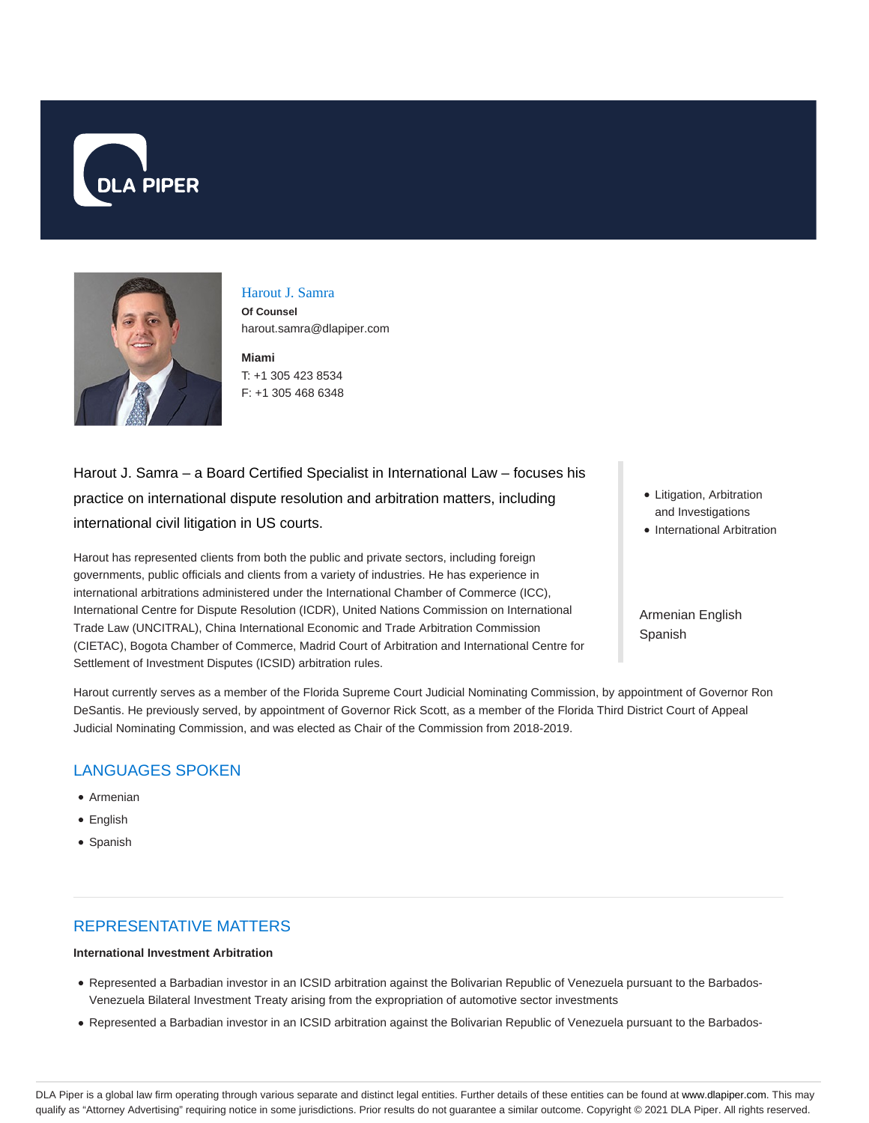



# Harout J. Samra

**Of Counsel** harout.samra@dlapiper.com

**Miami** T: +1 305 423 8534 F: +1 305 468 6348

Harout J. Samra – a Board Certified Specialist in International Law – focuses his practice on international dispute resolution and arbitration matters, including international civil litigation in US courts.

Harout has represented clients from both the public and private sectors, including foreign governments, public officials and clients from a variety of industries. He has experience in international arbitrations administered under the International Chamber of Commerce (ICC), International Centre for Dispute Resolution (ICDR), United Nations Commission on International Trade Law (UNCITRAL), China International Economic and Trade Arbitration Commission (CIETAC), Bogota Chamber of Commerce, Madrid Court of Arbitration and International Centre for Settlement of Investment Disputes (ICSID) arbitration rules.

- Litigation, Arbitration and Investigations
- International Arbitration

Armenian English Spanish

Harout currently serves as a member of the Florida Supreme Court Judicial Nominating Commission, by appointment of Governor Ron DeSantis. He previously served, by appointment of Governor Rick Scott, as a member of the Florida Third District Court of Appeal Judicial Nominating Commission, and was elected as Chair of the Commission from 2018-2019.

# LANGUAGES SPOKEN

- Armenian
- English
- Spanish

# REPRESENTATIVE MATTERS

#### **International Investment Arbitration**

- Represented a Barbadian investor in an ICSID arbitration against the Bolivarian Republic of Venezuela pursuant to the Barbados-Venezuela Bilateral Investment Treaty arising from the expropriation of automotive sector investments
- Represented a Barbadian investor in an ICSID arbitration against the Bolivarian Republic of Venezuela pursuant to the Barbados-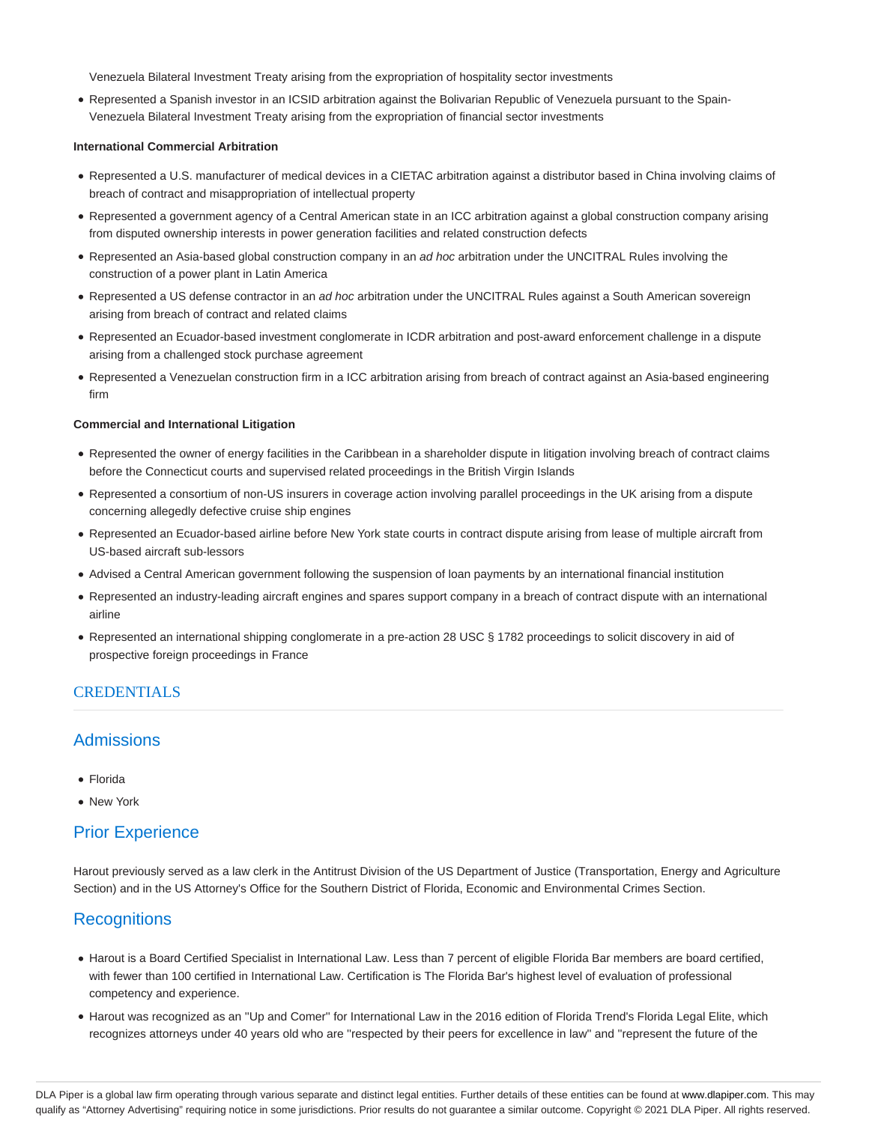Venezuela Bilateral Investment Treaty arising from the expropriation of hospitality sector investments

Represented a Spanish investor in an ICSID arbitration against the Bolivarian Republic of Venezuela pursuant to the Spain-Venezuela Bilateral Investment Treaty arising from the expropriation of financial sector investments

#### **International Commercial Arbitration**

- Represented a U.S. manufacturer of medical devices in a CIETAC arbitration against a distributor based in China involving claims of breach of contract and misappropriation of intellectual property
- Represented a government agency of a Central American state in an ICC arbitration against a global construction company arising from disputed ownership interests in power generation facilities and related construction defects
- Represented an Asia-based global construction company in an ad hoc arbitration under the UNCITRAL Rules involving the construction of a power plant in Latin America
- Represented a US defense contractor in an ad hoc arbitration under the UNCITRAL Rules against a South American sovereign arising from breach of contract and related claims
- Represented an Ecuador-based investment conglomerate in ICDR arbitration and post-award enforcement challenge in a dispute arising from a challenged stock purchase agreement
- Represented a Venezuelan construction firm in a ICC arbitration arising from breach of contract against an Asia-based engineering firm

#### **Commercial and International Litigation**

- Represented the owner of energy facilities in the Caribbean in a shareholder dispute in litigation involving breach of contract claims before the Connecticut courts and supervised related proceedings in the British Virgin Islands
- Represented a consortium of non-US insurers in coverage action involving parallel proceedings in the UK arising from a dispute concerning allegedly defective cruise ship engines
- Represented an Ecuador-based airline before New York state courts in contract dispute arising from lease of multiple aircraft from US-based aircraft sub-lessors
- Advised a Central American government following the suspension of loan payments by an international financial institution
- Represented an industry-leading aircraft engines and spares support company in a breach of contract dispute with an international airline
- Represented an international shipping conglomerate in a pre-action 28 USC § 1782 proceedings to solicit discovery in aid of prospective foreign proceedings in France

### **CREDENTIALS**

# **Admissions**

- Florida
- New York

## Prior Experience

Harout previously served as a law clerk in the Antitrust Division of the US Department of Justice (Transportation, Energy and Agriculture Section) and in the US Attorney's Office for the Southern District of Florida, Economic and Environmental Crimes Section.

## **Recognitions**

- Harout is a Board Certified Specialist in International Law. Less than 7 percent of eligible Florida Bar members are board certified, with fewer than 100 certified in International Law. Certification is The Florida Bar's highest level of evaluation of professional competency and experience.
- Harout was recognized as an ''Up and Comer'' for International Law in the 2016 edition of Florida Trend's Florida Legal Elite, which recognizes attorneys under 40 years old who are ''respected by their peers for excellence in law'' and ''represent the future of the

DLA Piper is a global law firm operating through various separate and distinct legal entities. Further details of these entities can be found at www.dlapiper.com. This may qualify as "Attorney Advertising" requiring notice in some jurisdictions. Prior results do not guarantee a similar outcome. Copyright @ 2021 DLA Piper. All rights reserved.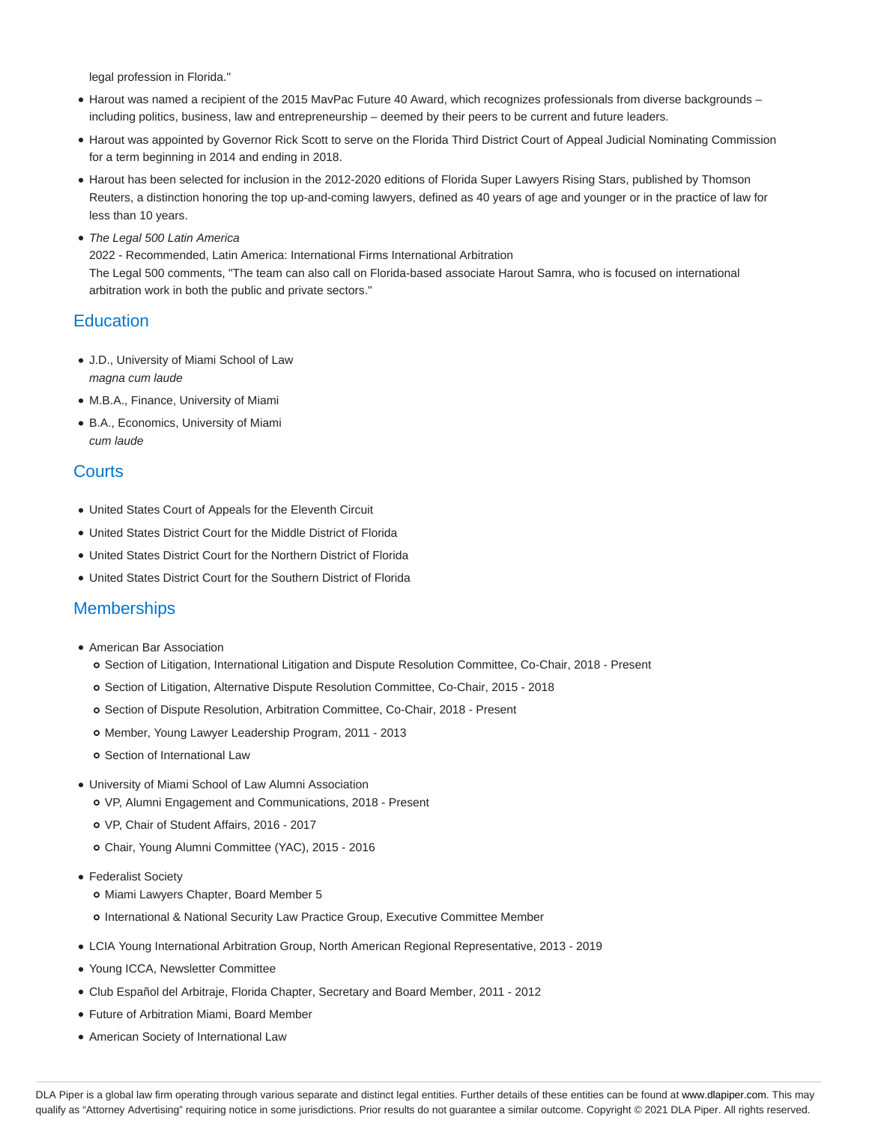legal profession in Florida.''

- Harout was named a recipient of the 2015 MavPac Future 40 Award, which recognizes professionals from diverse backgrounds including politics, business, law and entrepreneurship – deemed by their peers to be current and future leaders.
- Harout was appointed by Governor Rick Scott to serve on the Florida Third District Court of Appeal Judicial Nominating Commission for a term beginning in 2014 and ending in 2018.
- Harout has been selected for inclusion in the 2012-2020 editions of Florida Super Lawyers Rising Stars, published by Thomson Reuters, a distinction honoring the top up-and-coming lawyers, defined as 40 years of age and younger or in the practice of law for less than 10 years.
- The Legal 500 Latin America

2022 - Recommended, Latin America: International Firms International Arbitration The Legal 500 comments, "The team can also call on Florida-based associate Harout Samra, who is focused on international arbitration work in both the public and private sectors."

## **Education**

- J.D., University of Miami School of Law magna cum laude
- M.B.A., Finance, University of Miami
- B.A., Economics, University of Miami cum laude

# **Courts**

- United States Court of Appeals for the Eleventh Circuit
- United States District Court for the Middle District of Florida
- United States District Court for the Northern District of Florida
- United States District Court for the Southern District of Florida

## **Memberships**

- American Bar Association
	- o Section of Litigation, International Litigation and Dispute Resolution Committee, Co-Chair, 2018 Present
	- o Section of Litigation, Alternative Dispute Resolution Committee, Co-Chair, 2015 2018
	- o Section of Dispute Resolution, Arbitration Committee, Co-Chair, 2018 Present
	- o Member, Young Lawyer Leadership Program, 2011 2013
	- o Section of International Law
- University of Miami School of Law Alumni Association VP, Alumni Engagement and Communications, 2018 - Present
	- VP, Chair of Student Affairs, 2016 2017
	- Chair, Young Alumni Committee (YAC), 2015 2016
- Federalist Society
	- o Miami Lawyers Chapter, Board Member 5
	- International & National Security Law Practice Group, Executive Committee Member
- LCIA Young International Arbitration Group, North American Regional Representative, 2013 2019
- Young ICCA, Newsletter Committee
- Club Español del Arbitraje, Florida Chapter, Secretary and Board Member, 2011 2012
- Future of Arbitration Miami, Board Member
- American Society of International Law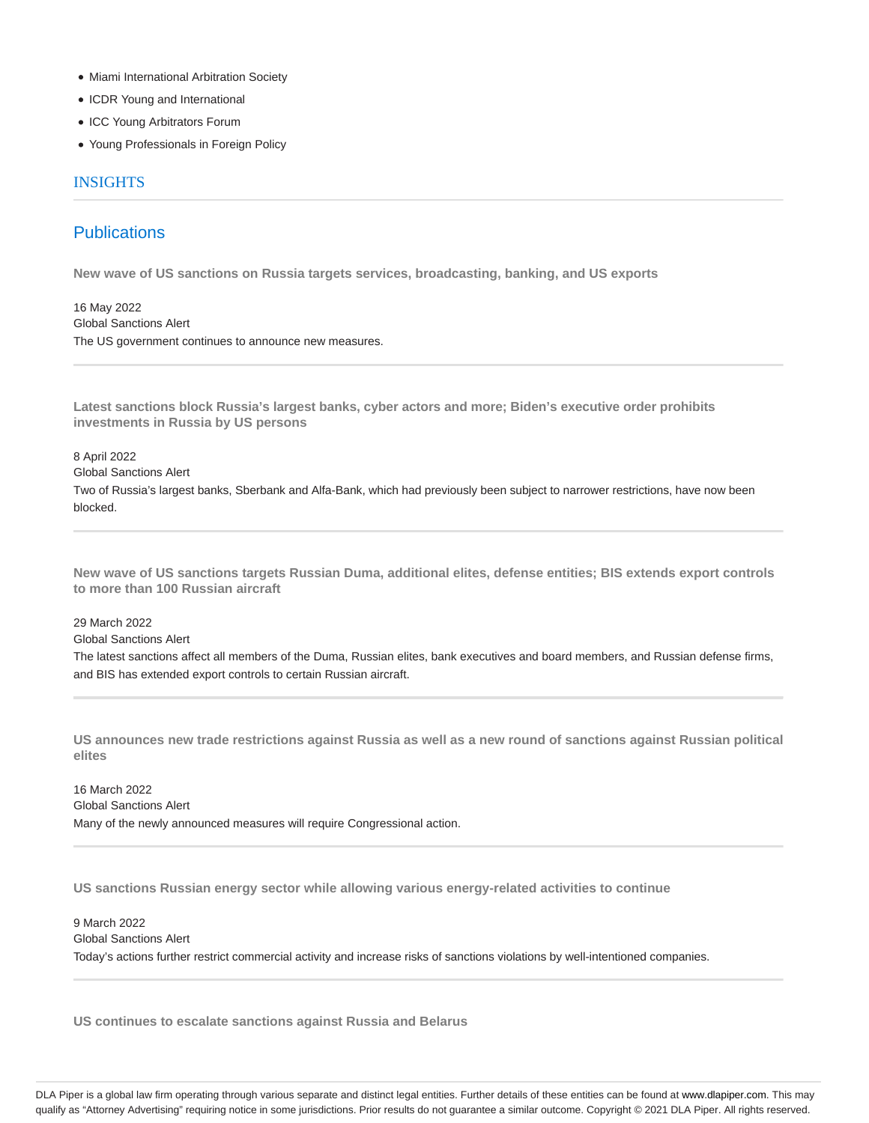- Miami International Arbitration Society
- ICDR Young and International
- ICC Young Arbitrators Forum
- Young Professionals in Foreign Policy

#### INSIGHTS

# **Publications**

**New wave of US sanctions on Russia targets services, broadcasting, banking, and US exports**

16 May 2022 Global Sanctions Alert The US government continues to announce new measures.

**Latest sanctions block Russia's largest banks, cyber actors and more; Biden's executive order prohibits investments in Russia by US persons**

8 April 2022 Global Sanctions Alert

Two of Russia's largest banks, Sberbank and Alfa-Bank, which had previously been subject to narrower restrictions, have now been blocked.

**New wave of US sanctions targets Russian Duma, additional elites, defense entities; BIS extends export controls to more than 100 Russian aircraft**

29 March 2022

Global Sanctions Alert

The latest sanctions affect all members of the Duma, Russian elites, bank executives and board members, and Russian defense firms, and BIS has extended export controls to certain Russian aircraft.

**US announces new trade restrictions against Russia as well as a new round of sanctions against Russian political elites**

16 March 2022 Global Sanctions Alert Many of the newly announced measures will require Congressional action.

**US sanctions Russian energy sector while allowing various energy-related activities to continue**

9 March 2022 Global Sanctions Alert Today's actions further restrict commercial activity and increase risks of sanctions violations by well-intentioned companies.

**US continues to escalate sanctions against Russia and Belarus**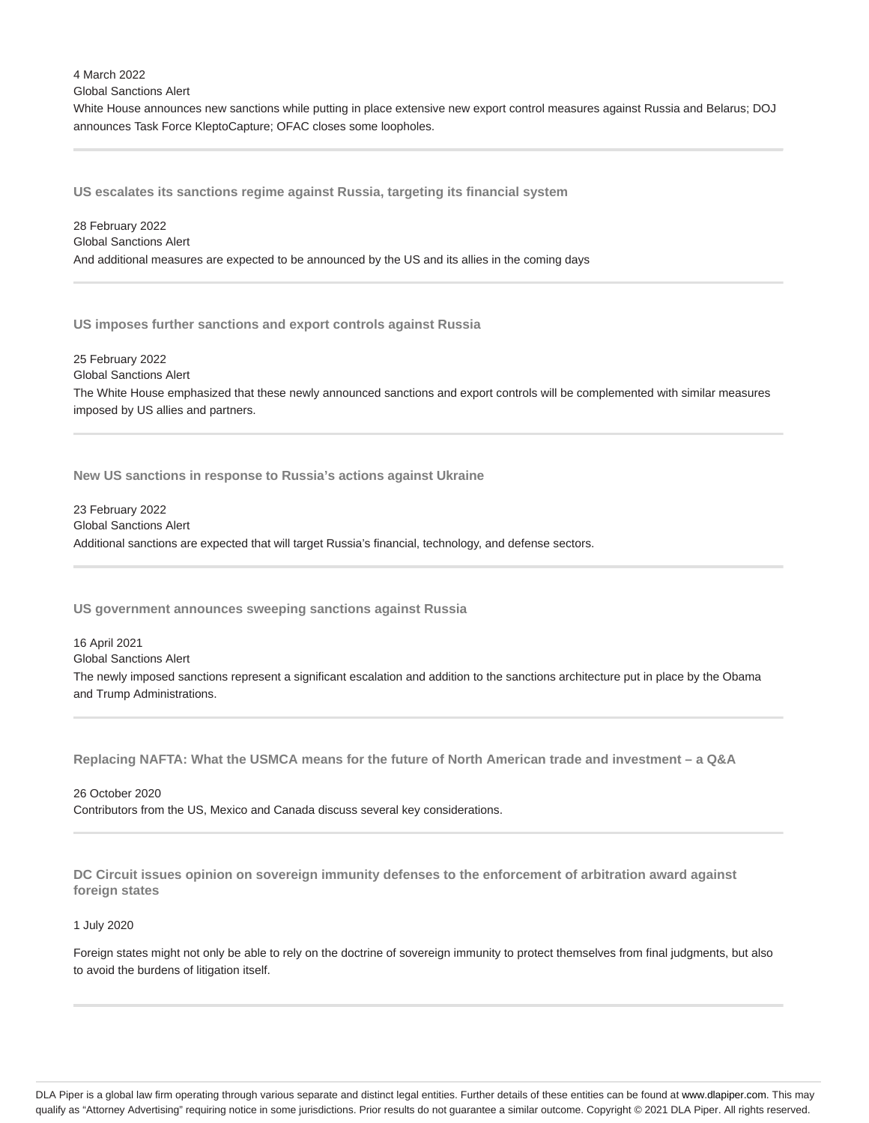4 March 2022 Global Sanctions Alert

White House announces new sanctions while putting in place extensive new export control measures against Russia and Belarus; DOJ announces Task Force KleptoCapture; OFAC closes some loopholes.

**US escalates its sanctions regime against Russia, targeting its financial system**

28 February 2022 Global Sanctions Alert And additional measures are expected to be announced by the US and its allies in the coming days

**US imposes further sanctions and export controls against Russia**

25 February 2022 Global Sanctions Alert The White House emphasized that these newly announced sanctions and export controls will be complemented with similar measures imposed by US allies and partners.

**New US sanctions in response to Russia's actions against Ukraine**

23 February 2022 Global Sanctions Alert Additional sanctions are expected that will target Russia's financial, technology, and defense sectors.

**US government announces sweeping sanctions against Russia**

16 April 2021 Global Sanctions Alert The newly imposed sanctions represent a significant escalation and addition to the sanctions architecture put in place by the Obama and Trump Administrations.

**Replacing NAFTA: What the USMCA means for the future of North American trade and investment – a Q&A**

26 October 2020 Contributors from the US, Mexico and Canada discuss several key considerations.

**DC Circuit issues opinion on sovereign immunity defenses to the enforcement of arbitration award against foreign states**

#### 1 July 2020

Foreign states might not only be able to rely on the doctrine of sovereign immunity to protect themselves from final judgments, but also to avoid the burdens of litigation itself.

DLA Piper is a global law firm operating through various separate and distinct legal entities. Further details of these entities can be found at www.dlapiper.com. This may qualify as "Attorney Advertising" requiring notice in some jurisdictions. Prior results do not guarantee a similar outcome. Copyright @ 2021 DLA Piper. All rights reserved.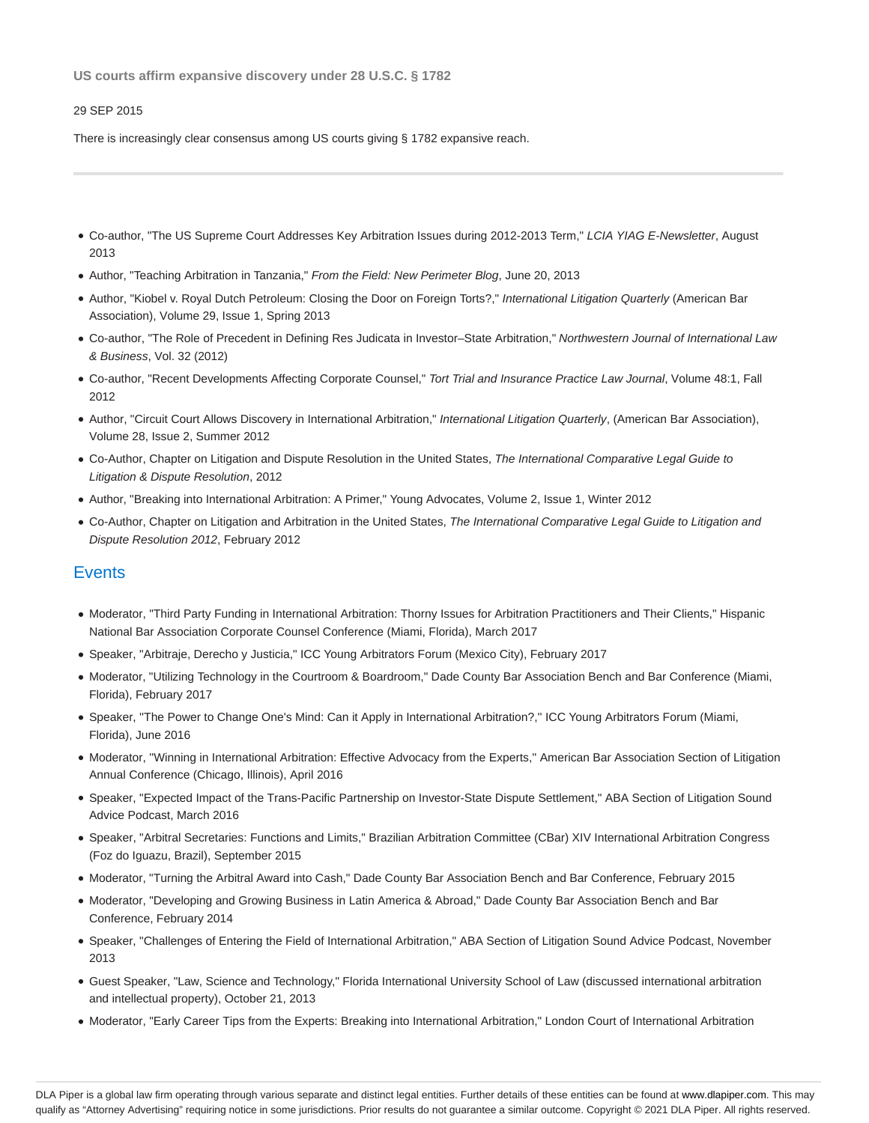**US courts affirm expansive discovery under 28 U.S.C. § 1782**

#### 29 SEP 2015

There is increasingly clear consensus among US courts giving § 1782 expansive reach.

- Co-author, "The US Supreme Court Addresses Key Arbitration Issues during 2012-2013 Term," LCIA YIAG E-Newsletter, August 2013
- Author, "Teaching Arbitration in Tanzania," From the Field: New Perimeter Blog, June 20, 2013
- Author, "Kiobel v. Royal Dutch Petroleum: Closing the Door on Foreign Torts?," International Litigation Quarterly (American Bar Association), Volume 29, Issue 1, Spring 2013
- Co-author, "The Role of Precedent in Defining Res Judicata in Investor–State Arbitration," Northwestern Journal of International Law & Business, Vol. 32 (2012)
- Co-author, "Recent Developments Affecting Corporate Counsel," Tort Trial and Insurance Practice Law Journal, Volume 48:1, Fall 2012
- Author, "Circuit Court Allows Discovery in International Arbitration," International Litigation Quarterly, (American Bar Association), Volume 28, Issue 2, Summer 2012
- Co-Author, Chapter on Litigation and Dispute Resolution in the United States, The International Comparative Legal Guide to Litigation & Dispute Resolution, 2012
- Author, "Breaking into International Arbitration: A Primer," Young Advocates, Volume 2, Issue 1, Winter 2012
- Co-Author, Chapter on Litigation and Arbitration in the United States, The International Comparative Legal Guide to Litigation and Dispute Resolution 2012, February 2012

### **Events**

- Moderator, "Third Party Funding in International Arbitration: Thorny Issues for Arbitration Practitioners and Their Clients," Hispanic National Bar Association Corporate Counsel Conference (Miami, Florida), March 2017
- Speaker, "Arbitraje, Derecho y Justicia," ICC Young Arbitrators Forum (Mexico City), February 2017
- Moderator, "Utilizing Technology in the Courtroom & Boardroom," Dade County Bar Association Bench and Bar Conference (Miami, Florida), February 2017
- Speaker, ''The Power to Change One's Mind: Can it Apply in International Arbitration?,'' ICC Young Arbitrators Forum (Miami, Florida), June 2016
- Moderator, "Winning in International Arbitration: Effective Advocacy from the Experts," American Bar Association Section of Litigation Annual Conference (Chicago, Illinois), April 2016
- Speaker, "Expected Impact of the Trans-Pacific Partnership on Investor-State Dispute Settlement," ABA Section of Litigation Sound Advice Podcast, March 2016
- Speaker, "Arbitral Secretaries: Functions and Limits," Brazilian Arbitration Committee (CBar) XIV International Arbitration Congress (Foz do Iguazu, Brazil), September 2015
- Moderator, "Turning the Arbitral Award into Cash," Dade County Bar Association Bench and Bar Conference, February 2015
- Moderator, "Developing and Growing Business in Latin America & Abroad," Dade County Bar Association Bench and Bar Conference, February 2014
- Speaker, "Challenges of Entering the Field of International Arbitration," ABA Section of Litigation Sound Advice Podcast, November 2013
- Guest Speaker, "Law, Science and Technology," Florida International University School of Law (discussed international arbitration and intellectual property), October 21, 2013
- Moderator, "Early Career Tips from the Experts: Breaking into International Arbitration," London Court of International Arbitration